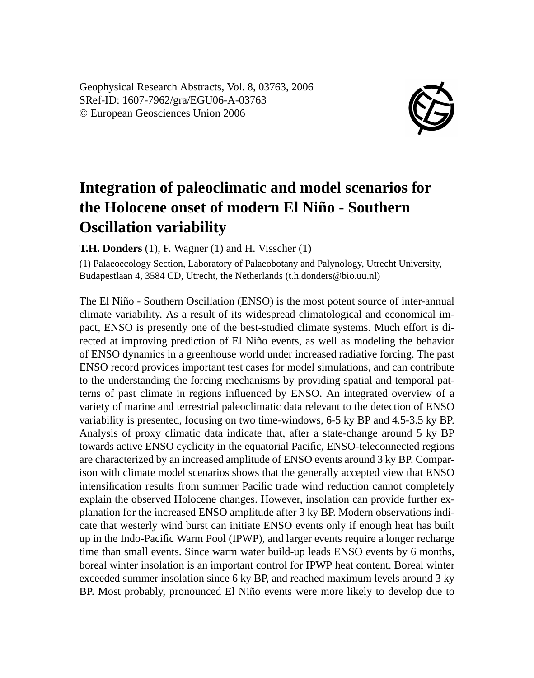Geophysical Research Abstracts, Vol. 8, 03763, 2006 SRef-ID: 1607-7962/gra/EGU06-A-03763 © European Geosciences Union 2006



## **Integration of paleoclimatic and model scenarios for the Holocene onset of modern El Niño - Southern Oscillation variability**

**T.H. Donders** (1), F. Wagner (1) and H. Visscher (1)

(1) Palaeoecology Section, Laboratory of Palaeobotany and Palynology, Utrecht University, Budapestlaan 4, 3584 CD, Utrecht, the Netherlands (t.h.donders@bio.uu.nl)

The El Niño - Southern Oscillation (ENSO) is the most potent source of inter-annual climate variability. As a result of its widespread climatological and economical impact, ENSO is presently one of the best-studied climate systems. Much effort is directed at improving prediction of El Niño events, as well as modeling the behavior of ENSO dynamics in a greenhouse world under increased radiative forcing. The past ENSO record provides important test cases for model simulations, and can contribute to the understanding the forcing mechanisms by providing spatial and temporal patterns of past climate in regions influenced by ENSO. An integrated overview of a variety of marine and terrestrial paleoclimatic data relevant to the detection of ENSO variability is presented, focusing on two time-windows, 6-5 ky BP and 4.5-3.5 ky BP. Analysis of proxy climatic data indicate that, after a state-change around 5 ky BP towards active ENSO cyclicity in the equatorial Pacific, ENSO-teleconnected regions are characterized by an increased amplitude of ENSO events around 3 ky BP. Comparison with climate model scenarios shows that the generally accepted view that ENSO intensification results from summer Pacific trade wind reduction cannot completely explain the observed Holocene changes. However, insolation can provide further explanation for the increased ENSO amplitude after 3 ky BP. Modern observations indicate that westerly wind burst can initiate ENSO events only if enough heat has built up in the Indo-Pacific Warm Pool (IPWP), and larger events require a longer recharge time than small events. Since warm water build-up leads ENSO events by 6 months, boreal winter insolation is an important control for IPWP heat content. Boreal winter exceeded summer insolation since 6 ky BP, and reached maximum levels around 3 ky BP. Most probably, pronounced El Niño events were more likely to develop due to